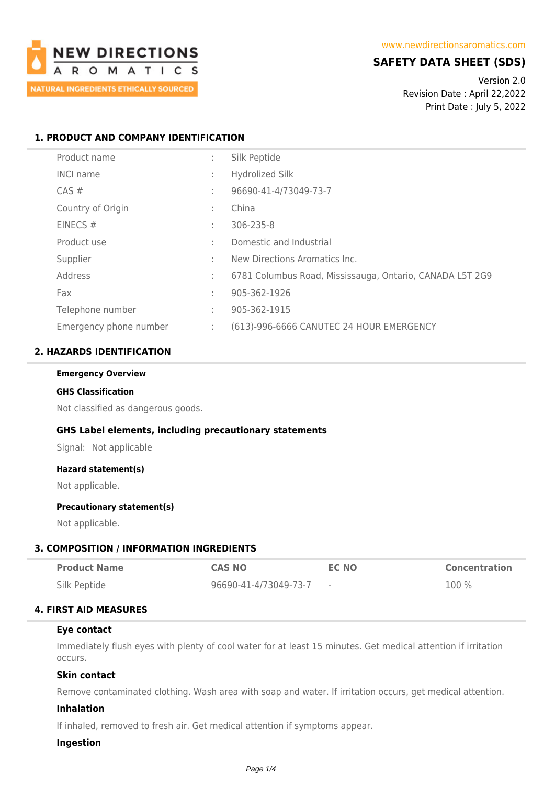

# **SAFETY DATA SHEET (SDS)**

Version 2.0 Revision Date : April 22,2022 Print Date : July 5, 2022

## **1. PRODUCT AND COMPANY IDENTIFICATION**

| Product name           | ÷                 | Silk Peptide                                             |
|------------------------|-------------------|----------------------------------------------------------|
| <b>INCI name</b>       | $\mathbf{r}$      | <b>Hydrolized Silk</b>                                   |
| $CAS \#$               | ٠                 | 96690-41-4/73049-73-7                                    |
| Country of Origin      | ٠<br>$\mathbf{r}$ | China                                                    |
| EINECS $#$             | ٠<br>$\mathbf{r}$ | 306-235-8                                                |
| Product use            | ٠.                | Domestic and Industrial                                  |
| Supplier               | ٠                 | New Directions Aromatics Inc.                            |
| Address                | ÷                 | 6781 Columbus Road, Mississauga, Ontario, CANADA L5T 2G9 |
| Fax                    | ٠                 | 905-362-1926                                             |
| Telephone number       |                   | 905-362-1915                                             |
| Emergency phone number | ÷                 | (613)-996-6666 CANUTEC 24 HOUR EMERGENCY                 |

## **2. HAZARDS IDENTIFICATION**

#### **Emergency Overview**

#### **GHS Classification**

Not classified as dangerous goods.

### **GHS Label elements, including precautionary statements**

Signal: Not applicable

#### **Hazard statement(s)**

Not applicable.

#### **Precautionary statement(s)**

Not applicable.

### **3. COMPOSITION / INFORMATION INGREDIENTS**

| <b>Product Name</b> | <b>CAS NO</b>         | <b>EC NO</b> | <b>Concentration</b> |
|---------------------|-----------------------|--------------|----------------------|
| Silk Peptide        | 96690-41-4/73049-73-7 |              | $100\%$              |

### **4. FIRST AID MEASURES**

### **Eye contact**

Immediately flush eyes with plenty of cool water for at least 15 minutes. Get medical attention if irritation occurs.

## **Skin contact**

Remove contaminated clothing. Wash area with soap and water. If irritation occurs, get medical attention.

### **Inhalation**

If inhaled, removed to fresh air. Get medical attention if symptoms appear.

#### **Ingestion**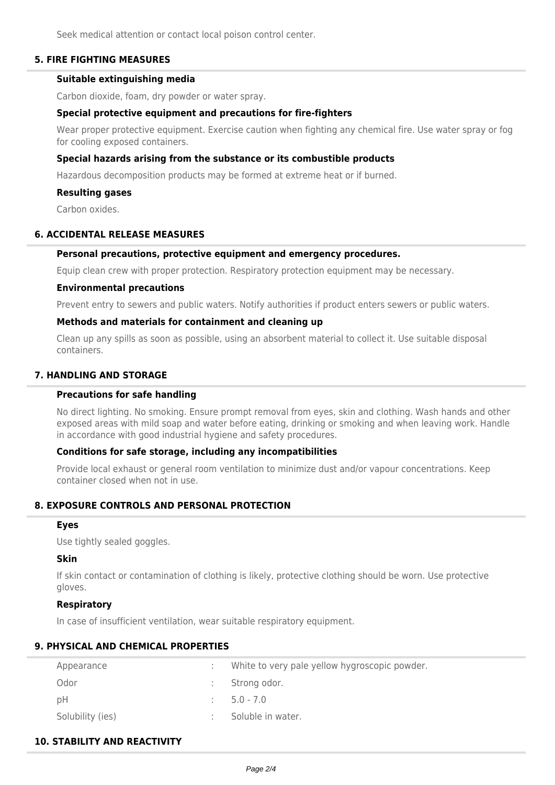Seek medical attention or contact local poison control center.

## **5. FIRE FIGHTING MEASURES**

#### **Suitable extinguishing media**

Carbon dioxide, foam, dry powder or water spray.

### **Special protective equipment and precautions for fire-fighters**

Wear proper protective equipment. Exercise caution when fighting any chemical fire. Use water spray or fog for cooling exposed containers.

#### **Special hazards arising from the substance or its combustible products**

Hazardous decomposition products may be formed at extreme heat or if burned.

#### **Resulting gases**

Carbon oxides.

#### **6. ACCIDENTAL RELEASE MEASURES**

#### **Personal precautions, protective equipment and emergency procedures.**

Equip clean crew with proper protection. Respiratory protection equipment may be necessary.

#### **Environmental precautions**

Prevent entry to sewers and public waters. Notify authorities if product enters sewers or public waters.

#### **Methods and materials for containment and cleaning up**

Clean up any spills as soon as possible, using an absorbent material to collect it. Use suitable disposal containers.

### **7. HANDLING AND STORAGE**

## **Precautions for safe handling**

No direct lighting. No smoking. Ensure prompt removal from eyes, skin and clothing. Wash hands and other exposed areas with mild soap and water before eating, drinking or smoking and when leaving work. Handle in accordance with good industrial hygiene and safety procedures.

#### **Conditions for safe storage, including any incompatibilities**

Provide local exhaust or general room ventilation to minimize dust and/or vapour concentrations. Keep container closed when not in use.

## **8. EXPOSURE CONTROLS AND PERSONAL PROTECTION**

#### **Eyes**

Use tightly sealed goggles.

#### **Skin**

If skin contact or contamination of clothing is likely, protective clothing should be worn. Use protective gloves.

#### **Respiratory**

In case of insufficient ventilation, wear suitable respiratory equipment.

### **9. PHYSICAL AND CHEMICAL PROPERTIES**

| Appearance       | White to very pale yellow hygroscopic powder. |
|------------------|-----------------------------------------------|
| Odor             | Strong odor.                                  |
| рH               | $5.0 - 7.0$                                   |
| Solubility (ies) | Soluble in water.                             |

## **10. STABILITY AND REACTIVITY**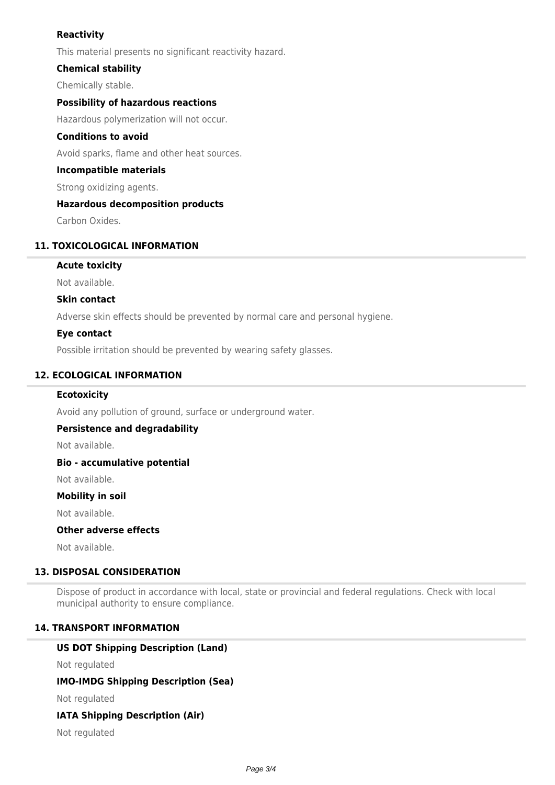## **Reactivity**

This material presents no significant reactivity hazard.

## **Chemical stability**

Chemically stable.

## **Possibility of hazardous reactions**

Hazardous polymerization will not occur.

### **Conditions to avoid**

Avoid sparks, flame and other heat sources.

### **Incompatible materials**

Strong oxidizing agents.

## **Hazardous decomposition products**

Carbon Oxides.

## **11. TOXICOLOGICAL INFORMATION**

## **Acute toxicity**

Not available.

### **Skin contact**

Adverse skin effects should be prevented by normal care and personal hygiene.

## **Eye contact**

Possible irritation should be prevented by wearing safety glasses.

## **12. ECOLOGICAL INFORMATION**

### **Ecotoxicity**

Avoid any pollution of ground, surface or underground water.

## **Persistence and degradability**

Not available.

### **Bio - accumulative potential**

Not available.

## **Mobility in soil**

Not available.

## **Other adverse effects**

Not available.

## **13. DISPOSAL CONSIDERATION**

Dispose of product in accordance with local, state or provincial and federal regulations. Check with local municipal authority to ensure compliance.

## **14. TRANSPORT INFORMATION**

## **US DOT Shipping Description (Land)**

Not regulated

## **IMO-IMDG Shipping Description (Sea)**

Not regulated

## **IATA Shipping Description (Air)**

Not regulated